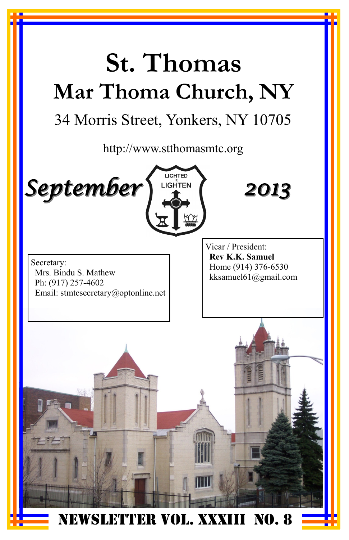# **St. Thomas Mar Thoma Church, NY**

## 34 Morris Street, Yonkers, NY 10705

http://www.stthomasmtc.org



*2013*

Secretary: Mrs. Bindu S. Mathew Ph: (917) 257-4602 Email: stmtcsecretary@optonline.net Vicar / President: **Rev K.K. Samuel** Home (914) 376-6530 kksamuel61@gmail.com

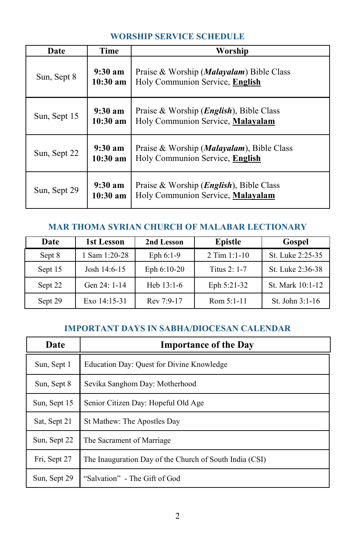#### **WORSHIP SERVICE SCHEDULE**

| Date         | Time                            | Worship                                                                               |  |
|--------------|---------------------------------|---------------------------------------------------------------------------------------|--|
| Sun, Sept 8  | $9:30 \text{ am}$<br>$10:30$ am | Praise & Worship ( <i>Malayalam</i> ) Bible Class<br>Holy Communion Service, English  |  |
| Sun, Sept 15 | $9:30 \text{ am}$<br>$10:30$ am | Praise & Worship ( <i>English</i> ), Bible Class<br>Holy Communion Service, Malayalam |  |
| Sun, Sept 22 | $9:30 \text{ am}$<br>$10:30$ am | Praise & Worship ( <i>Malayalam</i> ), Bible Class<br>Holy Communion Service, English |  |
| Sun, Sept 29 | $9:30 \text{ am}$<br>$10:30$ am | Praise & Worship $(English)$ , Bible Class<br>Holy Communion Service, Malayalam       |  |

#### **MAR THOMA SYRIAN CHURCH OF MALABAR LECTIONARY**

| Date    | 1st Lesson    | 2nd Lesson    | <b>Epistle</b> | Gospel            |
|---------|---------------|---------------|----------------|-------------------|
| Sept 8  | 1 Sam 1:20-28 | Eph $6:1-9$   | 2 Tim $1:1-10$ | St. Luke 2:25-35  |
| Sept 15 | Josh 14:6-15  | Eph $6:10-20$ | Titus $2:1-7$  | St. Luke 2:36-38  |
| Sept 22 | Gen $24:1-14$ | Heb $13:1-6$  | Eph 5:21-32    | St. Mark 10:1-12  |
| Sept 29 | Exo 14:15-31  | Rev 7:9-17    | Rom $5:1-11$   | St. John $3:1-16$ |

#### **IMPORTANT DAYS IN SABHA/DIOCESAN CALENDAR**

| Date         | <b>Importance of the Day</b>                            |
|--------------|---------------------------------------------------------|
| Sun, Sept 1  | Education Day: Quest for Divine Knowledge               |
| Sun, Sept 8  | Sevika Sanghom Day: Motherhood                          |
| Sun, Sept 15 | Senior Citizen Day: Hopeful Old Age                     |
| Sat, Sept 21 | St Mathew: The Apostles Day                             |
| Sun, Sept 22 | The Sacrament of Marriage                               |
| Fri, Sept 27 | The Inauguration Day of the Church of South India (CSI) |
| Sun, Sept 29 | "Salvation" - The Gift of God                           |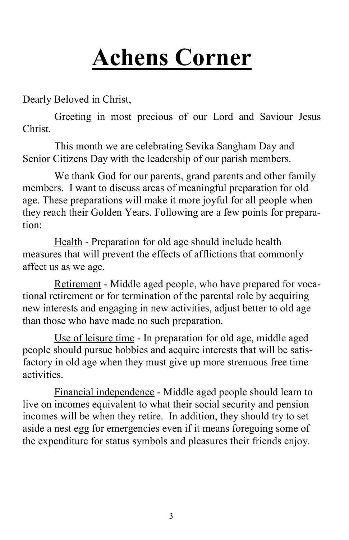## **Achens Corner**

Dearly Beloved in Christ,

Greeting in most precious of our Lord and Saviour Jesus Christ.

This month we are celebrating Sevika Sangham Day and Senior Citizens Day with the leadership of our parish members.

We thank God for our parents, grand parents and other family members. I want to discuss areas of meaningful preparation for old age. These preparations will make it more joyful for all people when they reach their Golden Years. Following are a few points for preparation:

Health - Preparation for old age should include health measures that will prevent the effects of afflictions that commonly affect us as we age.

Retirement - Middle aged people, who have prepared for vocational retirement or for termination of the parental role by acquiring new interests and engaging in new activities, adjust better to old age than those who have made no such preparation.

Use of leisure time - In preparation for old age, middle aged people should pursue hobbies and acquire interests that will be satisfactory in old age when they must give up more strenuous free time activities.

Financial independence - Middle aged people should learn to live on incomes equivalent to what their social security and pension incomes will be when they retire. In addition, they should try to set aside a nest egg for emergencies even if it means foregoing some of the expenditure for status symbols and pleasures their friends enjoy.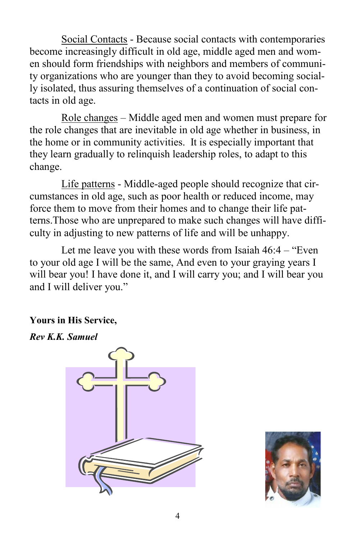Social Contacts - Because social contacts with contemporaries become increasingly difficult in old age, middle aged men and women should form friendships with neighbors and members of community organizations who are younger than they to avoid becoming socially isolated, thus assuring themselves of a continuation of social contacts in old age.

Role changes – Middle aged men and women must prepare for the role changes that are inevitable in old age whether in business, in the home or in community activities. It is especially important that they learn gradually to relinquish leadership roles, to adapt to this change.

Life patterns - Middle-aged people should recognize that circumstances in old age, such as poor health or reduced income, may force them to move from their homes and to change their life patterns.Those who are unprepared to make such changes will have difficulty in adjusting to new patterns of life and will be unhappy.

Let me leave you with these words from Isaiah 46:4 – "Even to your old age I will be the same, And even to your graying years I will bear you! I have done it, and I will carry you; and I will bear you and I will deliver you."

**Yours in His Service,**

*Rev K.K. Samuel* 



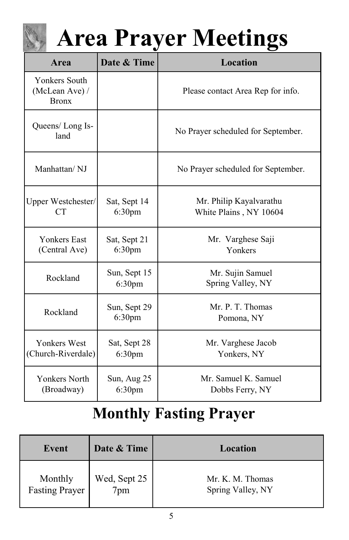# **Area Prayer Meetings**

| <b>Area</b>                                            | Date & Time                                                             | Location                                          |  |
|--------------------------------------------------------|-------------------------------------------------------------------------|---------------------------------------------------|--|
| <b>Yonkers South</b><br>(McLean Ave) /<br><b>Bronx</b> |                                                                         | Please contact Area Rep for info.                 |  |
| Queens/Long Is-<br>land                                |                                                                         | No Prayer scheduled for September.                |  |
| Manhattan/NJ                                           |                                                                         | No Prayer scheduled for September.                |  |
| Upper Westchester/<br>CT                               | Sat, Sept 14<br>6:30 <sub>pm</sub>                                      | Mr. Philip Kayalvarathu<br>White Plains, NY 10604 |  |
| <b>Yonkers East</b><br>(Central Ave)                   | Sat, Sept 21<br>Mr. Varghese Saji<br>Yonkers<br>6:30 <sub>pm</sub>      |                                                   |  |
| Rockland                                               | Sun, Sept 15<br>6:30 <sub>pm</sub>                                      | Mr. Sujin Samuel<br>Spring Valley, NY             |  |
| Rockland                                               | Sun, Sept 29<br>6:30 <sub>pm</sub>                                      | Mr. P. T. Thomas<br>Pomona, NY                    |  |
| <b>Yonkers West</b><br>(Church-Riverdale)              | Mr. Varghese Jacob<br>Sat, Sept 28<br>6:30 <sub>pm</sub><br>Yonkers, NY |                                                   |  |
| <b>Yonkers North</b><br>(Broadway)                     | Sun, Aug 25<br>6:30 <sub>pm</sub>                                       | Mr. Samuel K. Samuel<br>Dobbs Ferry, NY           |  |

## **Monthly Fasting Prayer**

| Event                     | Date & Time         | Location                              |
|---------------------------|---------------------|---------------------------------------|
| Monthly<br>Fasting Prayer | Wed, Sept 25<br>7pm | Mr. K. M. Thomas<br>Spring Valley, NY |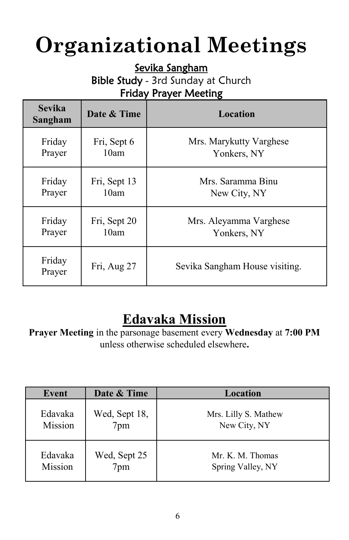## **Organizational Meetings**

Sevika Sangham

Bible Study - 3rd Sunday at Church Friday Prayer Meeting

| <b>Sevika</b><br>Sangham | Date & Time  | Location                       |
|--------------------------|--------------|--------------------------------|
| Friday                   | Fri, Sept 6  | Mrs. Marykutty Varghese        |
| Prayer                   | 10am         | Yonkers, NY                    |
| Friday                   | Fri, Sept 13 | Mrs. Saramma Binu              |
| Prayer                   | 10am         | New City, NY                   |
| Friday                   | Fri, Sept 20 | Mrs. Aleyamma Varghese         |
| Prayer                   | 10am         | Yonkers, NY                    |
| Friday<br>Prayer         | Fri, Aug 27  | Sevika Sangham House visiting. |

## **Edavaka Mission**

**Prayer Meeting** in the parsonage basement every **Wednesday** at **7:00 PM**  unless otherwise scheduled elsewhere**.**

| Event   | Date & Time   | Location             |
|---------|---------------|----------------------|
| Edavaka | Wed, Sept 18, | Mrs. Lilly S. Mathew |
| Mission | 7pm           | New City, NY         |
| Edavaka | Wed, Sept 25  | Mr. K. M. Thomas     |
| Mission | $7 \text{pm}$ | Spring Valley, NY    |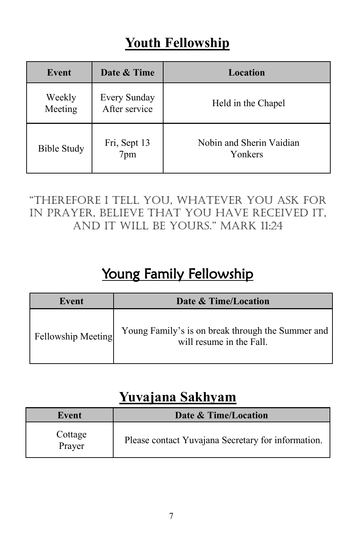## **Youth Fellowship**

| Event              | Date & Time                   | <b>Location</b>                     |
|--------------------|-------------------------------|-------------------------------------|
| Weekly<br>Meeting  | Every Sunday<br>After service | Held in the Chapel                  |
| <b>Bible Study</b> | Fri, Sept 13<br>7pm           | Nobin and Sherin Vaidian<br>Yonkers |

### "Therefore I Tell you, whaTever you ask for in prayer, believe that you have received it, and IT wIll be yours." Mark 11:24

## Young Family Fellowship

| Event              | Date & Time/Location                                                          |
|--------------------|-------------------------------------------------------------------------------|
| Fellowship Meeting | Young Family's is on break through the Summer and<br>will resume in the Fall. |

## **Yuvajana Sakhyam**

| Event             | Date & Time/Location                               |  |
|-------------------|----------------------------------------------------|--|
| Cottage<br>Prayer | Please contact Yuvajana Secretary for information. |  |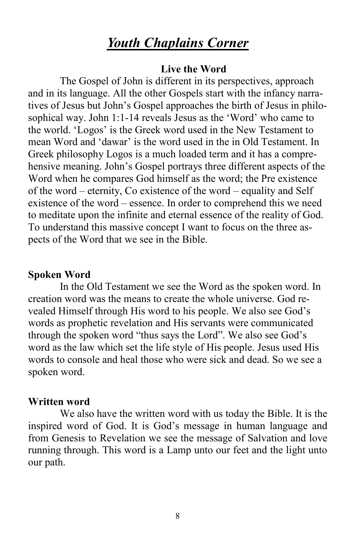### *Youth Chaplains Corner*

#### **Live the Word**

The Gospel of John is different in its perspectives, approach and in its language. All the other Gospels start with the infancy narratives of Jesus but John's Gospel approaches the birth of Jesus in philosophical way. John 1:1-14 reveals Jesus as the 'Word' who came to the world. 'Logos' is the Greek word used in the New Testament to mean Word and 'dawar' is the word used in the in Old Testament. In Greek philosophy Logos is a much loaded term and it has a comprehensive meaning. John's Gospel portrays three different aspects of the Word when he compares God himself as the word; the Pre existence of the word – eternity, Co existence of the word – equality and Self existence of the word – essence. In order to comprehend this we need to meditate upon the infinite and eternal essence of the reality of God. To understand this massive concept I want to focus on the three aspects of the Word that we see in the Bible.

#### **Spoken Word**

In the Old Testament we see the Word as the spoken word. In creation word was the means to create the whole universe. God revealed Himself through His word to his people. We also see God's words as prophetic revelation and His servants were communicated through the spoken word "thus says the Lord". We also see God's word as the law which set the life style of His people. Jesus used His words to console and heal those who were sick and dead. So we see a spoken word.

#### **Written word**

We also have the written word with us today the Bible. It is the inspired word of God. It is God's message in human language and from Genesis to Revelation we see the message of Salvation and love running through. This word is a Lamp unto our feet and the light unto our path.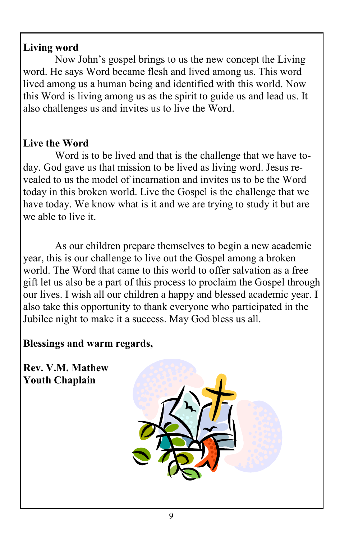#### **Living word**

Now John's gospel brings to us the new concept the Living word. He says Word became flesh and lived among us. This word lived among us a human being and identified with this world. Now this Word is living among us as the spirit to guide us and lead us. It also challenges us and invites us to live the Word.

### **Live the Word**

Word is to be lived and that is the challenge that we have today. God gave us that mission to be lived as living word. Jesus revealed to us the model of incarnation and invites us to be the Word today in this broken world. Live the Gospel is the challenge that we have today. We know what is it and we are trying to study it but are we able to live it.

As our children prepare themselves to begin a new academic year, this is our challenge to live out the Gospel among a broken world. The Word that came to this world to offer salvation as a free gift let us also be a part of this process to proclaim the Gospel through our lives. I wish all our children a happy and blessed academic year. I also take this opportunity to thank everyone who participated in the Jubilee night to make it a success. May God bless us all.

**Blessings and warm regards,**

**Rev. V.M. Mathew Youth Chaplain** 

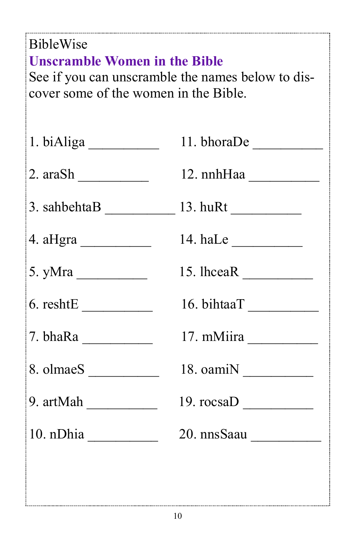| <b>BibleWise</b><br><b>Unscramble Women in the Bible</b><br>See if you can unscramble the names below to dis-<br>cover some of the women in the Bible. |                                       |  |
|--------------------------------------------------------------------------------------------------------------------------------------------------------|---------------------------------------|--|
|                                                                                                                                                        |                                       |  |
| 2. arash                                                                                                                                               | 12. nnhHaa                            |  |
| $3.$ sahbehta $B \_$ 13. huRt $\_$                                                                                                                     |                                       |  |
|                                                                                                                                                        | 14. haLe $\_\_\_\_\_\_\_\_\_\_\_\_\_$ |  |
| 5. yMra $\_\_\_\_\_\_\_\_\_\_\_\_\_\_\_$                                                                                                               |                                       |  |
|                                                                                                                                                        | 16. bihtaaT                           |  |
|                                                                                                                                                        | 17. mMiira                            |  |
|                                                                                                                                                        |                                       |  |
| 9. artMah                                                                                                                                              | 19. $\text{rocsaD}$                   |  |
| 10. nDhia                                                                                                                                              | 20. nnsSaau                           |  |
|                                                                                                                                                        |                                       |  |